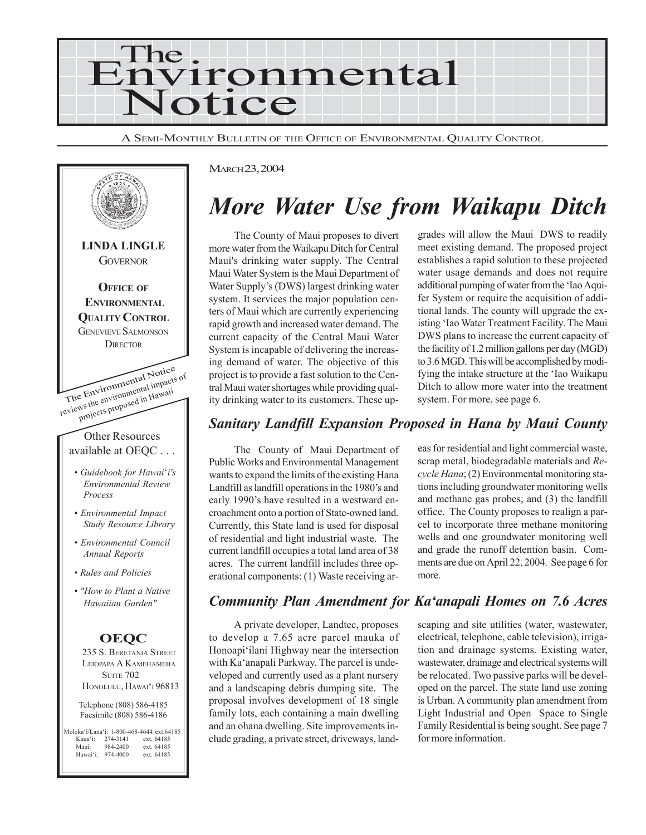

A SEMI-MONTHLY BULLETIN OF THE OFFICE OF ENVIRONMENTAL QUALITY CONTROL



#### MARCH 23, 2004

# *More Water Use from Waikapu Ditch*

The County of Maui proposes to divert more water from the Waikapu Ditch for Central Maui's drinking water supply. The Central Maui Water System is the Maui Department of Water Supply's (DWS) largest drinking water system. It services the major population centers of Maui which are currently experiencing rapid growth and increased water demand. The current capacity of the Central Maui Water System is incapable of delivering the increasing demand of water. The objective of this project is to provide a fast solution to the Central Maui water shortages while providing quality drinking water to its customers. These upgrades will allow the Maui DWS to readily meet existing demand. The proposed project establishes a rapid solution to these projected water usage demands and does not require additional pumping of water from the 'Iao Aquifer System or require the acquisition of additional lands. The county will upgrade the existing 'Iao Water Treatment Facility. The Maui DWS plans to increase the current capacity of the facility of 1.2 million gallons per day (MGD) to 3.6 MGD. This will be accomplished by modifying the intake structure at the 'Iao Waikapu Ditch to allow more water into the treatment system. For more, see page 6.

## *Sanitary Landfill Expansion Proposed in Hana by Maui County*

The County of Maui Department of Public Works and Environmental Management wants to expand the limits of the existing Hana Landfill as landfill operations in the 1980's and early 1990's have resulted in a westward encroachment onto a portion of State-owned land. Currently, this State land is used for disposal of residential and light industrial waste. The current landfill occupies a total land area of 38 acres. The current landfill includes three operational components: (1) Waste receiving areas for residential and light commercial waste, scrap metal, biodegradable materials and *Recycle Hana*; (2) Environmental monitoring stations including groundwater monitoring wells and methane gas probes; and (3) the landfill office. The County proposes to realign a parcel to incorporate three methane monitoring wells and one groundwater monitoring well and grade the runoff detention basin. Comments are due on April 22, 2004. See page 6 for more.

### *Community Plan Amendment for Ka'anapali Homes on 7.6 Acres*

A private developer, Landtec, proposes to develop a 7.65 acre parcel mauka of Honoapi'ilani Highway near the intersection with Ka'anapali Parkway. The parcel is undeveloped and currently used as a plant nursery and a landscaping debris dumping site. The proposal involves development of 18 single family lots, each containing a main dwelling and an ohana dwelling. Site improvements include grading, a private street, driveways, landscaping and site utilities (water, wastewater, electrical, telephone, cable television), irrigation and drainage systems. Existing water, wastewater, drainage and electrical systems will be relocated. Two passive parks will be developed on the parcel. The state land use zoning is Urban. A community plan amendment from Light Industrial and Open Space to Single Family Residential is being sought. See page 7 for more information.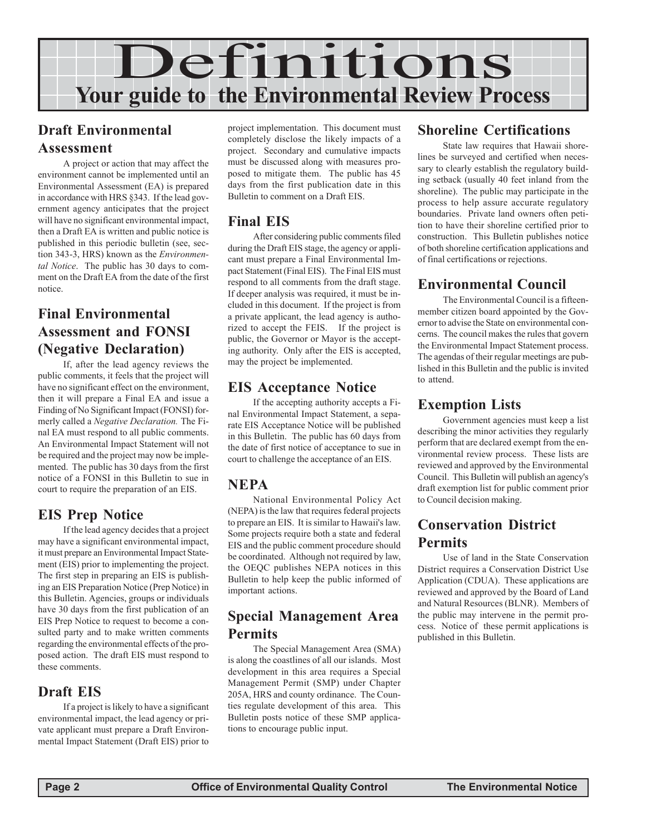

# **Draft Environmental Assessment**

A project or action that may affect the environment cannot be implemented until an Environmental Assessment (EA) is prepared in accordance with HRS §343. If the lead government agency anticipates that the project will have no significant environmental impact, then a Draft EA is written and public notice is published in this periodic bulletin (see, section 343-3, HRS) known as the *Environmental Notice*. The public has 30 days to comment on the Draft EA from the date of the first notice.

# **Final Environmental Assessment and FONSI (Negative Declaration)**

If, after the lead agency reviews the public comments, it feels that the project will have no significant effect on the environment. then it will prepare a Final EA and issue a Finding of No Significant Impact (FONSI) formerly called a *Negative Declaration.* The Final EA must respond to all public comments. An Environmental Impact Statement will not be required and the project may now be implemented. The public has 30 days from the first notice of a FONSI in this Bulletin to sue in court to require the preparation of an EIS.

# **EIS Prep Notice**

If the lead agency decides that a project may have a significant environmental impact, it must prepare an Environmental Impact Statement (EIS) prior to implementing the project. The first step in preparing an EIS is publishing an EIS Preparation Notice (Prep Notice) in this Bulletin. Agencies, groups or individuals have 30 days from the first publication of an EIS Prep Notice to request to become a consulted party and to make written comments regarding the environmental effects of the proposed action. The draft EIS must respond to these comments.

# **Draft EIS**

If a project is likely to have a significant environmental impact, the lead agency or private applicant must prepare a Draft Environmental Impact Statement (Draft EIS) prior to

project implementation. This document must completely disclose the likely impacts of a project. Secondary and cumulative impacts must be discussed along with measures proposed to mitigate them. The public has 45 days from the first publication date in this Bulletin to comment on a Draft EIS.

# **Final EIS**

After considering public comments filed during the Draft EIS stage, the agency or applicant must prepare a Final Environmental Impact Statement (Final EIS). The Final EIS must respond to all comments from the draft stage. If deeper analysis was required, it must be included in this document. If the project is from a private applicant, the lead agency is authorized to accept the FEIS. If the project is public, the Governor or Mayor is the accepting authority. Only after the EIS is accepted, may the project be implemented.

# **EIS Acceptance Notice**

If the accepting authority accepts a Final Environmental Impact Statement, a separate EIS Acceptance Notice will be published in this Bulletin. The public has 60 days from the date of first notice of acceptance to sue in court to challenge the acceptance of an EIS.

### **NEPA**

National Environmental Policy Act (NEPA) is the law that requires federal projects to prepare an EIS. It is similar to Hawaii's law. Some projects require both a state and federal EIS and the public comment procedure should be coordinated. Although not required by law, the OEQC publishes NEPA notices in this Bulletin to help keep the public informed of important actions.

# **Special Management Area Permits**

The Special Management Area (SMA) is along the coastlines of all our islands. Most development in this area requires a Special Management Permit (SMP) under Chapter 205A, HRS and county ordinance. The Counties regulate development of this area. This Bulletin posts notice of these SMP applications to encourage public input.

# **Shoreline Certifications**

State law requires that Hawaii shorelines be surveyed and certified when necessary to clearly establish the regulatory building setback (usually 40 feet inland from the shoreline). The public may participate in the process to help assure accurate regulatory boundaries. Private land owners often petition to have their shoreline certified prior to construction. This Bulletin publishes notice of both shoreline certification applications and of final certifications or rejections.

# **Environmental Council**

The Environmental Council is a fifteenmember citizen board appointed by the Governor to advise the State on environmental concerns. The council makes the rules that govern the Environmental Impact Statement process. The agendas of their regular meetings are published in this Bulletin and the public is invited to attend.

# **Exemption Lists**

Government agencies must keep a list describing the minor activities they regularly perform that are declared exempt from the environmental review process. These lists are reviewed and approved by the Environmental Council. This Bulletin will publish an agency's draft exemption list for public comment prior to Council decision making.

# **Conservation District Permits**

Use of land in the State Conservation District requires a Conservation District Use Application (CDUA). These applications are reviewed and approved by the Board of Land and Natural Resources (BLNR). Members of the public may intervene in the permit process. Notice of these permit applications is published in this Bulletin.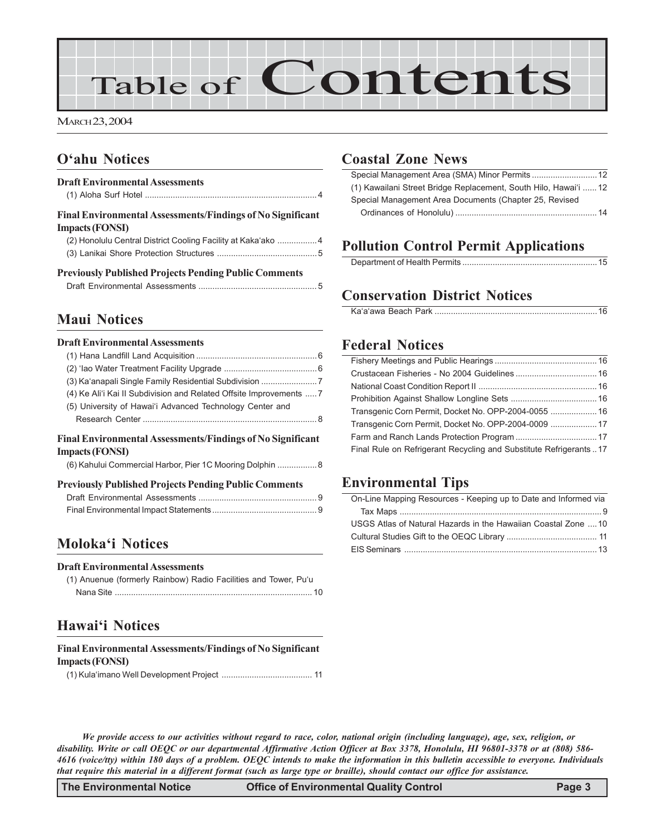

MARCH 23, 2004

# **O'ahu Notices**

### **Draft Environmental Assessments** (1) Aloha Surf Hotel .......................................................................... 4 **Final Environmental Assessments/Findings of No Significant Impacts (FONSI)** (2) Honolulu Central District Cooling Facility at Kaka'ako .................4 (3) Lanikai Shore Protection Structures ...........................................5 **Previously Published Projects Pending Public Comments** Draft Environmental Assessments ................................................... 5

### **Maui Notices**

#### **Draft Environmental Assessments**

| Final Environmental Assessments/Findings of No Significant<br><b>Impacts (FONSI)</b> |  |
|--------------------------------------------------------------------------------------|--|
|                                                                                      |  |
| (5) University of Hawai'i Advanced Technology Center and                             |  |
| (4) Ke Ali'i Kai II Subdivision and Related Offsite Improvements  7                  |  |
| (3) Ka'anapali Single Family Residential Subdivision 7                               |  |
|                                                                                      |  |
|                                                                                      |  |

|  | (6) Kahului Commercial Harbor, Pier 1C Mooring Dolphin  8 |  |
|--|-----------------------------------------------------------|--|
|  |                                                           |  |
|  |                                                           |  |

#### **Previously Published Projects Pending Public Comments**

### **Moloka'i Notices**

#### **Draft Environmental Assessments**

(1) Anuenue (formerly Rainbow) Radio Facilities and Tower, Pu'u Nana Site ..................................................................................... 10

# **Hawai'i Notices**

#### **Final Environmental Assessments/Findings of No Significant Impacts (FONSI)**

|--|--|--|

### **Coastal Zone News**

| (1) Kawailani Street Bridge Replacement, South Hilo, Hawai'i  12 |  |
|------------------------------------------------------------------|--|
| Special Management Area Documents (Chapter 25, Revised           |  |
|                                                                  |  |

# **Pollution Control Permit Applications**

|--|

## **Conservation District Notices**

|--|

### **Federal Notices**

| Transgenic Corn Permit, Docket No. OPP-2004-0055  16              |  |
|-------------------------------------------------------------------|--|
| Transgenic Corn Permit, Docket No. OPP-2004-0009  17              |  |
|                                                                   |  |
| Final Rule on Refrigerant Recycling and Substitute Refrigerants17 |  |
|                                                                   |  |

### **Environmental Tips**

| On-Line Mapping Resources - Keeping up to Date and Informed via |
|-----------------------------------------------------------------|
|                                                                 |
| USGS Atlas of Natural Hazards in the Hawaiian Coastal Zone 10   |
|                                                                 |
|                                                                 |

*We provide access to our activities without regard to race, color, national origin (including language), age, sex, religion, or disability. Write or call OEQC or our departmental Affirmative Action Officer at Box 3378, Honolulu, HI 96801-3378 or at (808) 586- 4616 (voice/tty) within 180 days of a problem. OEQC intends to make the information in this bulletin accessible to everyone. Individuals that require this material in a different format (such as large type or braille), should contact our office for assistance.*

**The Environmental Notice Office of Environmental Quality Control Page 3**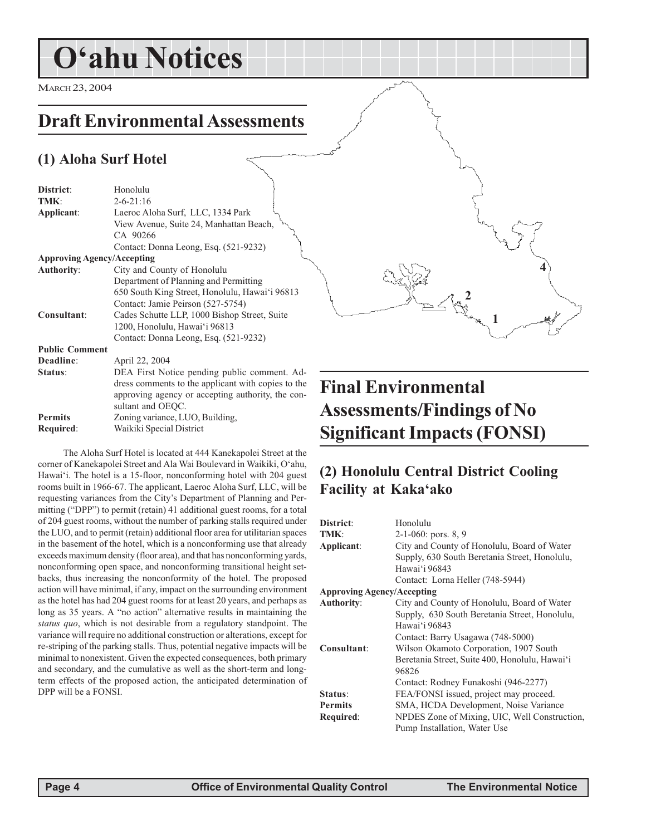# **O'ahu Notices**

MARCH 23, 2004

# **Draft Environmental Assessments**

# **(1) Aloha Surf Hotel**

| District:                         | Honolulu                                           |
|-----------------------------------|----------------------------------------------------|
| TMK:                              | $2 - 6 - 21:16$                                    |
| Applicant:                        | Laeroc Aloha Surf, LLC, 1334 Park                  |
|                                   | View Avenue, Suite 24, Manhattan Beach,            |
|                                   | CA 90266                                           |
|                                   | Contact: Donna Leong, Esq. (521-9232)              |
| <b>Approving Agency/Accepting</b> |                                                    |
| <b>Authority:</b>                 | City and County of Honolulu                        |
|                                   | Department of Planning and Permitting              |
|                                   | 650 South King Street, Honolulu, Hawai'i 96813     |
|                                   | Contact: Jamie Peirson (527-5754)                  |
| Consultant:                       | Cades Schutte LLP, 1000 Bishop Street, Suite       |
|                                   | 1200, Honolulu, Hawai'i 96813                      |
|                                   | Contact: Donna Leong, Esq. (521-9232)              |
| <b>Public Comment</b>             |                                                    |
| Deadline:                         | April 22, 2004                                     |
| Status:                           | DEA First Notice pending public comment. Ad-       |
|                                   | dress comments to the applicant with copies to the |
|                                   | approving agency or accepting authority, the con-  |
|                                   | sultant and OEQC.                                  |
| <b>Permits</b>                    | Zoning variance, LUO, Building,                    |
| Required:                         | Waikiki Special District                           |

The Aloha Surf Hotel is located at 444 Kanekapolei Street at the corner of Kanekapolei Street and Ala Wai Boulevard in Waikiki, O'ahu, Hawai'i. The hotel is a 15-floor, nonconforming hotel with 204 guest rooms built in 1966-67. The applicant, Laeroc Aloha Surf, LLC, will be requesting variances from the City's Department of Planning and Permitting ("DPP") to permit (retain) 41 additional guest rooms, for a total of 204 guest rooms, without the number of parking stalls required under the LUO, and to permit (retain) additional floor area for utilitarian spaces in the basement of the hotel, which is a nonconforming use that already exceeds maximum density (floor area), and that has nonconforming yards, nonconforming open space, and nonconforming transitional height setbacks, thus increasing the nonconformity of the hotel. The proposed action will have minimal, if any, impact on the surrounding environment as the hotel has had 204 guest rooms for at least 20 years, and perhaps as long as 35 years. A "no action" alternative results in maintaining the *status quo*, which is not desirable from a regulatory standpoint. The variance will require no additional construction or alterations, except for re-striping of the parking stalls. Thus, potential negative impacts will be minimal to nonexistent. Given the expected consequences, both primary and secondary, and the cumulative as well as the short-term and longterm effects of the proposed action, the anticipated determination of DPP will be a FONSI.

# **Final Environmental Assessments/Findings of No Significant Impacts (FONSI)**

**1**

**4**

**2**

# **(2) Honolulu Central District Cooling Facility at Kaka'ako**

| <b>District:</b>                  | Honolulu                                       |
|-----------------------------------|------------------------------------------------|
| TMK:                              | $2-1-060$ : pors. 8, 9                         |
| Applicant:                        | City and County of Honolulu, Board of Water    |
|                                   | Supply, 630 South Beretania Street, Honolulu,  |
|                                   | Hawai'i 96843                                  |
|                                   | Contact: Lorna Heller (748-5944)               |
| <b>Approving Agency/Accepting</b> |                                                |
| Authority:                        | City and County of Honolulu, Board of Water    |
|                                   | Supply, 630 South Beretania Street, Honolulu,  |
|                                   | Hawai'i 96843                                  |
|                                   | Contact: Barry Usagawa (748-5000)              |
| Consultant:                       | Wilson Okamoto Corporation, 1907 South         |
|                                   | Beretania Street, Suite 400, Honolulu, Hawai'i |
|                                   | 96826                                          |
|                                   | Contact: Rodney Funakoshi (946-2277)           |
| Status:                           | FEA/FONSI issued, project may proceed.         |
| <b>Permits</b>                    | SMA, HCDA Development, Noise Variance          |
| Required:                         | NPDES Zone of Mixing, UIC, Well Construction,  |
|                                   | Pump Installation, Water Use                   |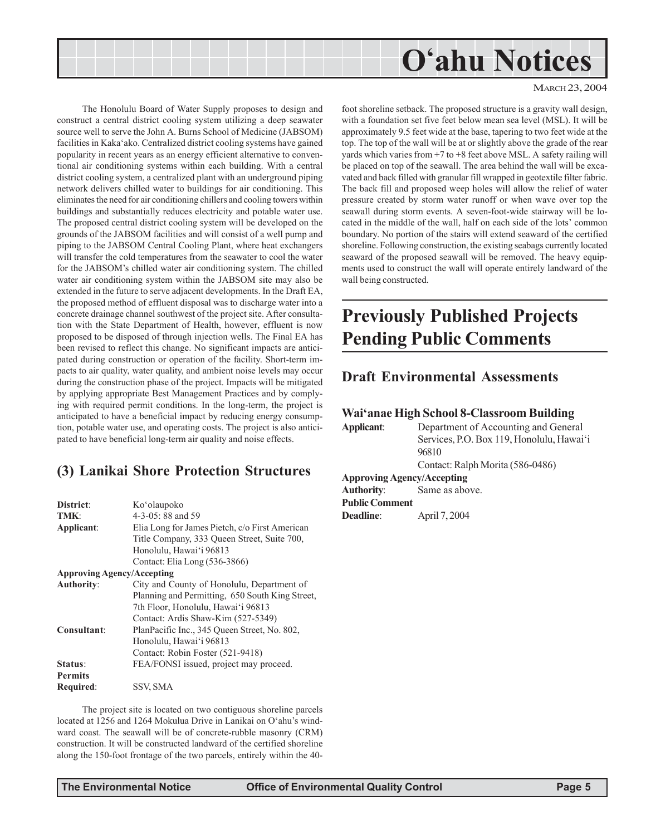

The Honolulu Board of Water Supply proposes to design and construct a central district cooling system utilizing a deep seawater source well to serve the John A. Burns School of Medicine (JABSOM) facilities in Kaka'ako. Centralized district cooling systems have gained popularity in recent years as an energy efficient alternative to conventional air conditioning systems within each building. With a central district cooling system, a centralized plant with an underground piping network delivers chilled water to buildings for air conditioning. This eliminates the need for air conditioning chillers and cooling towers within buildings and substantially reduces electricity and potable water use. The proposed central district cooling system will be developed on the grounds of the JABSOM facilities and will consist of a well pump and piping to the JABSOM Central Cooling Plant, where heat exchangers will transfer the cold temperatures from the seawater to cool the water for the JABSOM's chilled water air conditioning system. The chilled water air conditioning system within the JABSOM site may also be extended in the future to serve adjacent developments. In the Draft EA, the proposed method of effluent disposal was to discharge water into a concrete drainage channel southwest of the project site. After consultation with the State Department of Health, however, effluent is now proposed to be disposed of through injection wells. The Final EA has been revised to reflect this change. No significant impacts are anticipated during construction or operation of the facility. Short-term impacts to air quality, water quality, and ambient noise levels may occur during the construction phase of the project. Impacts will be mitigated by applying appropriate Best Management Practices and by complying with required permit conditions. In the long-term, the project is anticipated to have a beneficial impact by reducing energy consumption, potable water use, and operating costs. The project is also anticipated to have beneficial long-term air quality and noise effects.

# **(3) Lanikai Shore Protection Structures**

| District:                         | Ko'olaupoko                                     |
|-----------------------------------|-------------------------------------------------|
| TMK:                              | $4-3-05:88$ and 59                              |
| Applicant:                        | Elia Long for James Pietch, c/o First American  |
|                                   | Title Company, 333 Queen Street, Suite 700,     |
|                                   | Honolulu, Hawai'i 96813                         |
|                                   | Contact: Elia Long (536-3866)                   |
| <b>Approving Agency/Accepting</b> |                                                 |
| <b>Authority:</b>                 | City and County of Honolulu, Department of      |
|                                   | Planning and Permitting, 650 South King Street, |
|                                   | 7th Floor, Honolulu, Hawai'i 96813              |
|                                   | Contact: Ardis Shaw-Kim (527-5349)              |
| Consultant:                       | PlanPacific Inc., 345 Oueen Street, No. 802,    |
|                                   | Honolulu, Hawai'i 96813                         |
|                                   | Contact: Robin Foster (521-9418)                |
| Status:                           | FEA/FONSI issued, project may proceed.          |
| Permits                           |                                                 |
| Required:                         | SSV, SMA                                        |
|                                   |                                                 |

The project site is located on two contiguous shoreline parcels located at 1256 and 1264 Mokulua Drive in Lanikai on O'ahu's windward coast. The seawall will be of concrete-rubble masonry (CRM) construction. It will be constructed landward of the certified shoreline along the 150-foot frontage of the two parcels, entirely within the 40-

#### MARCH 23, 2004

foot shoreline setback. The proposed structure is a gravity wall design, with a foundation set five feet below mean sea level (MSL). It will be approximately 9.5 feet wide at the base, tapering to two feet wide at the top. The top of the wall will be at or slightly above the grade of the rear yards which varies from +7 to +8 feet above MSL. A safety railing will be placed on top of the seawall. The area behind the wall will be excavated and back filled with granular fill wrapped in geotextile filter fabric. The back fill and proposed weep holes will allow the relief of water pressure created by storm water runoff or when wave over top the seawall during storm events. A seven-foot-wide stairway will be located in the middle of the wall, half on each side of the lots' common boundary. No portion of the stairs will extend seaward of the certified shoreline. Following construction, the existing seabags currently located seaward of the proposed seawall will be removed. The heavy equipments used to construct the wall will operate entirely landward of the wall being constructed.

# **Previously Published Projects Pending Public Comments**

#### **Draft Environmental Assessments**

#### **Wai'anae High School 8-Classroom Building**

**Applicant**: Department of Accounting and General Services, P.O. Box 119, Honolulu, Hawai'i 96810 Contact: Ralph Morita (586-0486) **Approving Agency/Accepting Authority**: Same as above.

**Public Comment Deadline**: April 7, 2004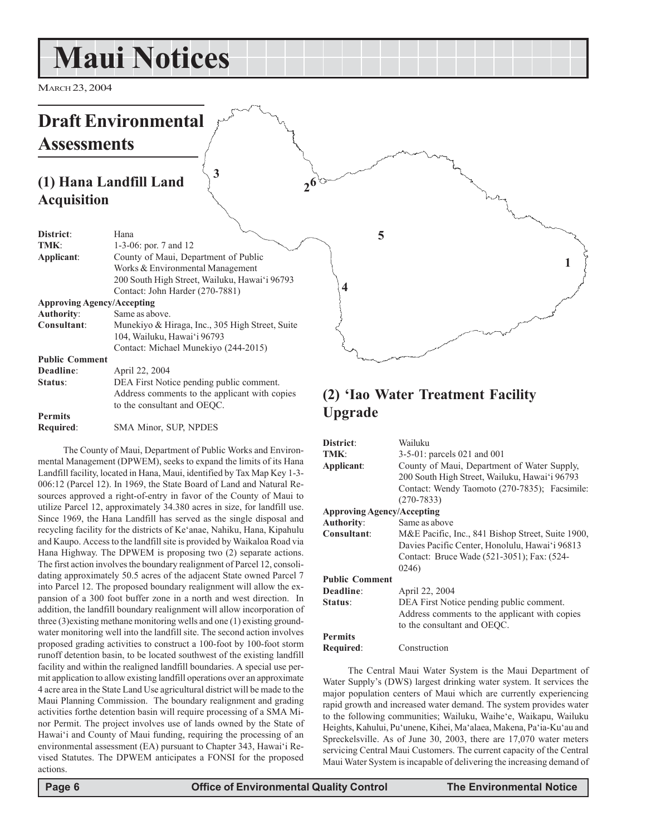# **Maui Notices**

MARCH 23, 2004

#### **Draft Environmental Assessments (1) Hana Landfill Land Acquisition District**: Hana **TMK**: 1-3-06: por. 7 and 12 **Applicant**: County of Maui, Department of Public Works & Environmental Management 200 South High Street, Wailuku, Hawai'i 96793 Contact: John Harder (270-7881) **Approving Agency/Accepting Authority**: Same as above. **Consultant**: Munekiyo & Hiraga, Inc., 305 High Street, Suite 104, Wailuku, Hawai'i 96793 Contact: Michael Munekiyo (244-2015) **Public Comment Deadline**: April 22, 2004 **Status**: DEA First Notice pending public comment. Address comments to the applicant with copies to the consultant and OEQC. **Permits (2) 'Iao Water Treatment Facility 1 3 5 62 4**

**Required**: SMA Minor, SUP, NPDES

The County of Maui, Department of Public Works and Environmental Management (DPWEM), seeks to expand the limits of its Hana Landfill facility, located in Hana, Maui, identified by Tax Map Key 1-3- 006:12 (Parcel 12). In 1969, the State Board of Land and Natural Resources approved a right-of-entry in favor of the County of Maui to utilize Parcel 12, approximately 34.380 acres in size, for landfill use. Since 1969, the Hana Landfill has served as the single disposal and recycling facility for the districts of Ke'anae, Nahiku, Hana, Kipahulu and Kaupo. Access to the landfill site is provided by Waikaloa Road via Hana Highway. The DPWEM is proposing two (2) separate actions. The first action involves the boundary realignment of Parcel 12, consolidating approximately 50.5 acres of the adjacent State owned Parcel 7 into Parcel 12. The proposed boundary realignment will allow the expansion of a 300 foot buffer zone in a north and west direction. In addition, the landfill boundary realignment will allow incorporation of three (3)existing methane monitoring wells and one (1) existing groundwater monitoring well into the landfill site. The second action involves proposed grading activities to construct a 100-foot by 100-foot storm runoff detention basin, to be located southwest of the existing landfill facility and within the realigned landfill boundaries. A special use permit application to allow existing landfill operations over an approximate 4 acre area in the State Land Use agricultural district will be made to the Maui Planning Commission. The boundary realignment and grading activities forthe detention basin will require processing of a SMA Minor Permit. The project involves use of lands owned by the State of Hawai'i and County of Maui funding, requiring the processing of an environmental assessment (EA) pursuant to Chapter 343, Hawai'i Revised Statutes. The DPWEM anticipates a FONSI for the proposed actions.

# **Upgrade**

| District:                         | Wailuku                                           |  |
|-----------------------------------|---------------------------------------------------|--|
| TMK:                              | $3-5-01$ : parcels 021 and 001                    |  |
| Applicant:                        | County of Maui, Department of Water Supply,       |  |
|                                   | 200 South High Street, Wailuku, Hawai'i 96793     |  |
|                                   | Contact: Wendy Taomoto (270-7835); Facsimile:     |  |
|                                   | $(270 - 7833)$                                    |  |
| <b>Approving Agency/Accepting</b> |                                                   |  |
| Authority:                        | Same as above                                     |  |
| Consultant:                       | M&E Pacific, Inc., 841 Bishop Street, Suite 1900, |  |
|                                   | Davies Pacific Center, Honolulu, Hawai'i 96813    |  |
|                                   | Contact: Bruce Wade (521-3051); Fax: (524-        |  |
|                                   | 0246)                                             |  |
| <b>Public Comment</b>             |                                                   |  |
| Deadline:                         | April 22, 2004                                    |  |
| Status:                           | DEA First Notice pending public comment.          |  |
|                                   | Address comments to the applicant with copies     |  |
|                                   | to the consultant and OEOC.                       |  |
| <b>Permits</b>                    |                                                   |  |
| Required:                         | Construction                                      |  |
|                                   |                                                   |  |

The Central Maui Water System is the Maui Department of Water Supply's (DWS) largest drinking water system. It services the major population centers of Maui which are currently experiencing rapid growth and increased water demand. The system provides water to the following communities; Wailuku, Waihe'e, Waikapu, Wailuku Heights, Kahului, Pu'unene, Kihei, Ma'alaea, Makena, Pa'ia-Ku'au and Spreckelsville. As of June 30, 2003, there are 17,070 water meters servicing Central Maui Customers. The current capacity of the Central Maui Water System is incapable of delivering the increasing demand of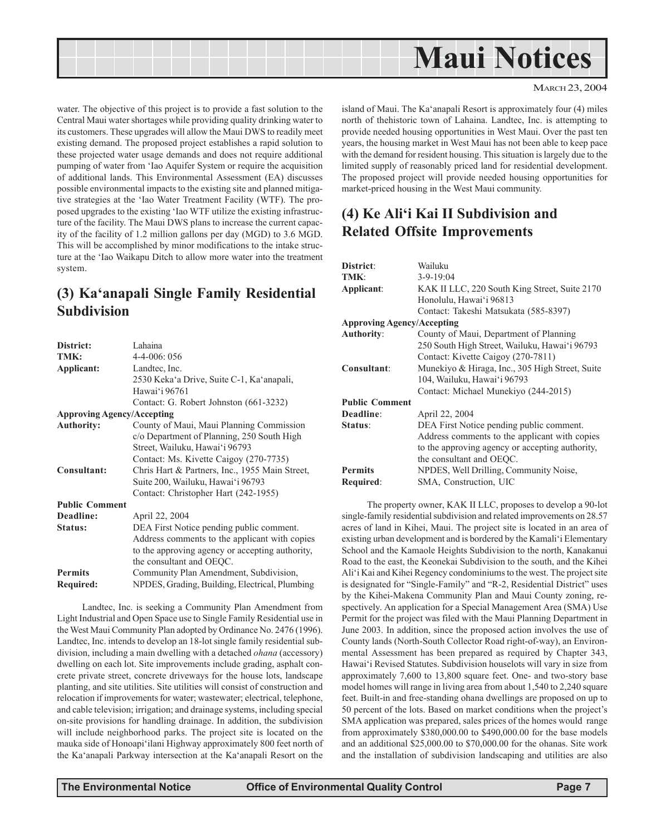

water. The objective of this project is to provide a fast solution to the Central Maui water shortages while providing quality drinking water to its customers. These upgrades will allow the Maui DWS to readily meet existing demand. The proposed project establishes a rapid solution to these projected water usage demands and does not require additional pumping of water from 'Iao Aquifer System or require the acquisition of additional lands. This Environmental Assessment (EA) discusses possible environmental impacts to the existing site and planned mitigative strategies at the 'Iao Water Treatment Facility (WTF). The proposed upgrades to the existing 'Iao WTF utilize the existing infrastructure of the facility. The Maui DWS plans to increase the current capacity of the facility of 1.2 million gallons per day (MGD) to 3.6 MGD. This will be accomplished by minor modifications to the intake structure at the 'Iao Waikapu Ditch to allow more water into the treatment system.

# **(3) Ka'anapali Single Family Residential Subdivision**

| District:                         | Lahaina                                         |
|-----------------------------------|-------------------------------------------------|
| TMK:                              | $4 - 4 - 006$ : 056                             |
| Applicant:                        | Landtec, Inc.                                   |
|                                   | 2530 Keka'a Drive, Suite C-1, Ka'anapali,       |
|                                   | Hawai'i 96761                                   |
|                                   | Contact: G. Robert Johnston (661-3232)          |
| <b>Approving Agency/Accepting</b> |                                                 |
| <b>Authority:</b>                 | County of Maui, Maui Planning Commission        |
|                                   | c/o Department of Planning, 250 South High      |
|                                   | Street, Wailuku, Hawai'i 96793                  |
|                                   | Contact: Ms. Kivette Caigoy (270-7735)          |
| Consultant:                       | Chris Hart & Partners, Inc., 1955 Main Street,  |
|                                   | Suite 200, Wailuku, Hawai'i 96793               |
|                                   | Contact: Christopher Hart (242-1955)            |
| <b>Public Comment</b>             |                                                 |
| Deadline:                         | April 22, 2004                                  |
| Status:                           | DEA First Notice pending public comment.        |
|                                   | Address comments to the applicant with copies   |
|                                   | to the approving agency or accepting authority, |
|                                   | the consultant and OEQC.                        |
| <b>Permits</b>                    | Community Plan Amendment, Subdivision,          |
| Required:                         | NPDES, Grading, Building, Electrical, Plumbing  |

Landtec, Inc. is seeking a Community Plan Amendment from Light Industrial and Open Space use to Single Family Residential use in the West Maui Community Plan adopted by Ordinance No. 2476 (1996). Landtec, Inc. intends to develop an 18-lot single family residential subdivision, including a main dwelling with a detached *ohana* (accessory) dwelling on each lot. Site improvements include grading, asphalt concrete private street, concrete driveways for the house lots, landscape planting, and site utilities. Site utilities will consist of construction and relocation if improvements for water; wastewater; electrical, telephone, and cable television; irrigation; and drainage systems, including special on-site provisions for handling drainage. In addition, the subdivision will include neighborhood parks. The project site is located on the mauka side of Honoapi'ilani Highway approximately 800 feet north of the Ka'anapali Parkway intersection at the Ka'anapali Resort on the

island of Maui. The Ka'anapali Resort is approximately four (4) miles north of thehistoric town of Lahaina. Landtec, Inc. is attempting to provide needed housing opportunities in West Maui. Over the past ten years, the housing market in West Maui has not been able to keep pace with the demand for resident housing. This situation is largely due to the limited supply of reasonably priced land for residential development. The proposed project will provide needed housing opportunities for market-priced housing in the West Maui community.

# **(4) Ke Ali'i Kai II Subdivision and Related Offsite Improvements**

| District:<br>TMK:<br>Applicant:   | Wailuku<br>$3 - 9 - 19:04$<br>KAK II LLC, 220 South King Street, Suite 2170<br>Honolulu, Hawai'i 96813 |  |
|-----------------------------------|--------------------------------------------------------------------------------------------------------|--|
|                                   | Contact: Takeshi Matsukata (585-8397)                                                                  |  |
| <b>Approving Agency/Accepting</b> |                                                                                                        |  |
| <b>Authority:</b>                 | County of Maui, Department of Planning                                                                 |  |
|                                   | 250 South High Street, Wailuku, Hawai'i 96793                                                          |  |
|                                   | Contact: Kivette Caigoy (270-7811)                                                                     |  |
| Consultant:                       | Munekiyo & Hiraga, Inc., 305 High Street, Suite                                                        |  |
|                                   | 104, Wailuku, Hawai'i 96793                                                                            |  |
|                                   | Contact: Michael Munekiyo (244-2015)                                                                   |  |
| <b>Public Comment</b>             |                                                                                                        |  |
| Deadline:                         | April 22, 2004                                                                                         |  |
| Status:                           | DEA First Notice pending public comment.                                                               |  |
|                                   | Address comments to the applicant with copies                                                          |  |
|                                   | to the approving agency or accepting authority,                                                        |  |
|                                   | the consultant and OEQC.                                                                               |  |
| <b>Permits</b>                    | NPDES, Well Drilling, Community Noise,                                                                 |  |
| Required:                         | SMA, Construction, UIC                                                                                 |  |

The property owner, KAK II LLC, proposes to develop a 90-lot single-family residential subdivision and related improvements on 28.57 acres of land in Kihei, Maui. The project site is located in an area of existing urban development and is bordered by the Kamali'i Elementary School and the Kamaole Heights Subdivision to the north, Kanakanui Road to the east, the Keonekai Subdivision to the south, and the Kihei Ali'i Kai and Kihei Regency condominiums to the west. The project site is designated for "Single-Family" and "R-2, Residential District" uses by the Kihei-Makena Community Plan and Maui County zoning, respectively. An application for a Special Management Area (SMA) Use Permit for the project was filed with the Maui Planning Department in June 2003. In addition, since the proposed action involves the use of County lands (North-South Collector Road right-of-way), an Environmental Assessment has been prepared as required by Chapter 343, Hawai'i Revised Statutes. Subdivision houselots will vary in size from approximately 7,600 to 13,800 square feet. One- and two-story base model homes will range in living area from about 1,540 to 2,240 square feet. Built-in and free-standing ohana dwellings are proposed on up to 50 percent of the lots. Based on market conditions when the project's SMA application was prepared, sales prices of the homes would range from approximately \$380,000.00 to \$490,000.00 for the base models and an additional \$25,000.00 to \$70,000.00 for the ohanas. Site work and the installation of subdivision landscaping and utilities are also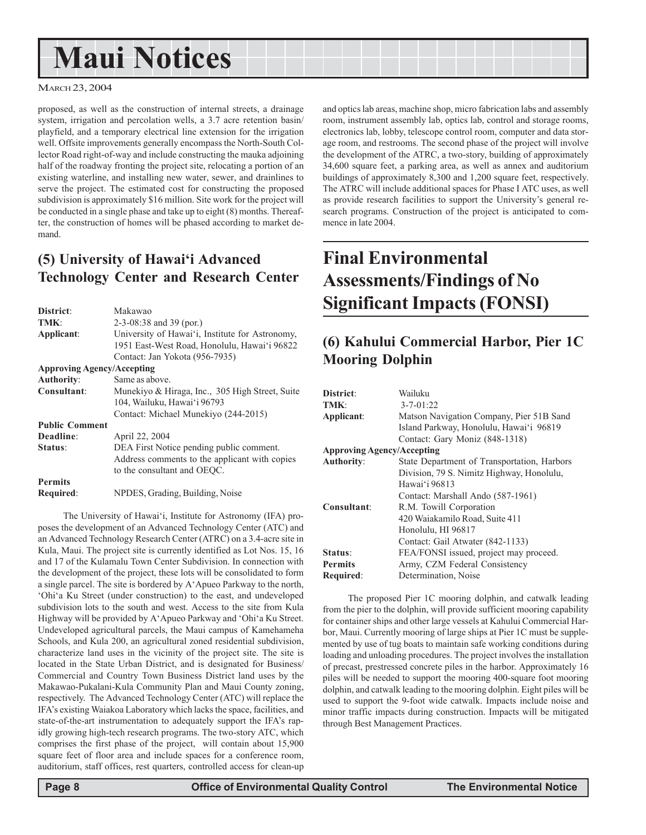# **Maui Notices**

#### MARCH 23, 2004

proposed, as well as the construction of internal streets, a drainage system, irrigation and percolation wells, a 3.7 acre retention basin/ playfield, and a temporary electrical line extension for the irrigation well. Offsite improvements generally encompass the North-South Collector Road right-of-way and include constructing the mauka adjoining half of the roadway fronting the project site, relocating a portion of an existing waterline, and installing new water, sewer, and drainlines to serve the project. The estimated cost for constructing the proposed subdivision is approximately \$16 million. Site work for the project will be conducted in a single phase and take up to eight (8) months. Thereafter, the construction of homes will be phased according to market demand.

# **(5) University of Hawai'i Advanced Technology Center and Research Center**

| <b>District:</b>                  | Makawao                                         |  |
|-----------------------------------|-------------------------------------------------|--|
| TMK:                              | $2-3-08:38$ and 39 (por.)                       |  |
| Applicant:                        | University of Hawai'i, Institute for Astronomy, |  |
|                                   | 1951 East-West Road, Honolulu, Hawai'i 96822    |  |
|                                   | Contact: Jan Yokota (956-7935)                  |  |
| <b>Approving Agency/Accepting</b> |                                                 |  |
| Authority:                        | Same as above.                                  |  |
| Consultant:                       | Munekiyo & Hiraga, Inc., 305 High Street, Suite |  |
|                                   | 104, Wailuku, Hawai'i 96793                     |  |
|                                   | Contact: Michael Munekiyo (244-2015)            |  |
| <b>Public Comment</b>             |                                                 |  |
| Deadline:                         | April 22, 2004                                  |  |
| Status:                           | DEA First Notice pending public comment.        |  |
|                                   | Address comments to the applicant with copies   |  |
|                                   | to the consultant and OEQC.                     |  |
| <b>Permits</b>                    |                                                 |  |
| <b>Required:</b>                  | NPDES, Grading, Building, Noise                 |  |

The University of Hawai'i, Institute for Astronomy (IFA) proposes the development of an Advanced Technology Center (ATC) and an Advanced Technology Research Center (ATRC) on a 3.4-acre site in Kula, Maui. The project site is currently identified as Lot Nos. 15, 16 and 17 of the Kulamalu Town Center Subdivision. In connection with the development of the project, these lots will be consolidated to form a single parcel. The site is bordered by A'Apueo Parkway to the north, 'Ohi'a Ku Street (under construction) to the east, and undeveloped subdivision lots to the south and west. Access to the site from Kula Highway will be provided by A'Apueo Parkway and 'Ohi'a Ku Street. Undeveloped agricultural parcels, the Maui campus of Kamehameha Schools, and Kula 200, an agricultural zoned residential subdivision, characterize land uses in the vicinity of the project site. The site is located in the State Urban District, and is designated for Business/ Commercial and Country Town Business District land uses by the Makawao-Pukalani-Kula Community Plan and Maui County zoning, respectively. The Advanced Technology Center (ATC) will replace the IFA's existing Waiakoa Laboratory which lacks the space, facilities, and state-of-the-art instrumentation to adequately support the IFA's rapidly growing high-tech research programs. The two-story ATC, which comprises the first phase of the project, will contain about 15,900 square feet of floor area and include spaces for a conference room, auditorium, staff offices, rest quarters, controlled access for clean-up

and optics lab areas, machine shop, micro fabrication labs and assembly room, instrument assembly lab, optics lab, control and storage rooms, electronics lab, lobby, telescope control room, computer and data storage room, and restrooms. The second phase of the project will involve the development of the ATRC, a two-story, building of approximately 34,600 square feet, a parking area, as well as annex and auditorium buildings of approximately 8,300 and 1,200 square feet, respectively. The ATRC will include additional spaces for Phase I ATC uses, as well as provide research facilities to support the University's general research programs. Construction of the project is anticipated to commence in late 2004.

# **Final Environmental Assessments/Findings of No Significant Impacts (FONSI)**

# **(6) Kahului Commercial Harbor, Pier 1C Mooring Dolphin**

| District:                         | Wailuku                                     |  |  |
|-----------------------------------|---------------------------------------------|--|--|
| TMK:                              | $3 - 7 - 01:22$                             |  |  |
| Applicant:                        | Matson Navigation Company, Pier 51B Sand    |  |  |
|                                   | Island Parkway, Honolulu, Hawai'i 96819     |  |  |
|                                   | Contact: Gary Moniz (848-1318)              |  |  |
| <b>Approving Agency/Accepting</b> |                                             |  |  |
| Authority:                        | State Department of Transportation, Harbors |  |  |
|                                   | Division, 79 S. Nimitz Highway, Honolulu,   |  |  |
|                                   | Hawai'i 96813                               |  |  |
|                                   | Contact: Marshall Ando (587-1961)           |  |  |
| Consultant:                       | R.M. Towill Corporation                     |  |  |
|                                   | 420 Waiakamilo Road, Suite 411              |  |  |
|                                   | Honolulu, HI 96817                          |  |  |
|                                   | Contact: Gail Atwater (842-1133)            |  |  |
| Status:                           | FEA/FONSI issued, project may proceed.      |  |  |
| <b>Permits</b>                    | Army, CZM Federal Consistency               |  |  |
| Required:                         | Determination, Noise                        |  |  |

The proposed Pier 1C mooring dolphin, and catwalk leading from the pier to the dolphin, will provide sufficient mooring capability for container ships and other large vessels at Kahului Commercial Harbor, Maui. Currently mooring of large ships at Pier 1C must be supplemented by use of tug boats to maintain safe working conditions during loading and unloading procedures. The project involves the installation of precast, prestressed concrete piles in the harbor. Approximately 16 piles will be needed to support the mooring 400-square foot mooring dolphin, and catwalk leading to the mooring dolphin. Eight piles will be used to support the 9-foot wide catwalk. Impacts include noise and minor traffic impacts during construction. Impacts will be mitigated through Best Management Practices.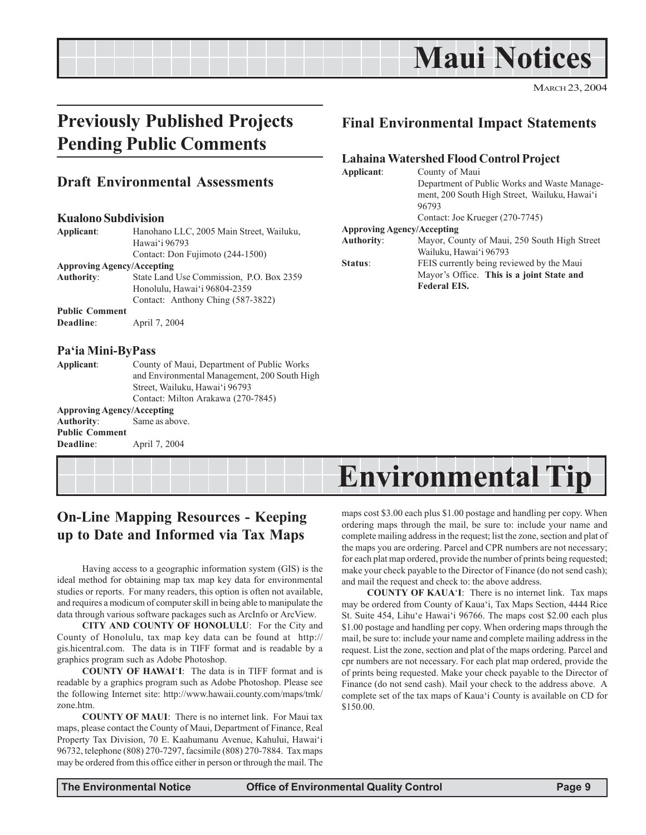

MARCH 23, 2004

# **Previously Published Projects Pending Public Comments**

### **Draft Environmental Assessments**

#### **Kualono Subdivision**

| Applicant:                        | Hanohano LLC, 2005 Main Street, Wailuku, |  |
|-----------------------------------|------------------------------------------|--|
|                                   | Hawai'i 96793                            |  |
|                                   | Contact: Don Fujimoto (244-1500)         |  |
| <b>Approving Agency/Accepting</b> |                                          |  |
| <b>Authority:</b>                 | State Land Use Commission, P.O. Box 2359 |  |
|                                   | Honolulu, Hawai'i 96804-2359             |  |
|                                   | Contact: Anthony Ching (587-3822)        |  |
| <b>Public Comment</b>             |                                          |  |
| Deadline:                         | April 7, 2004                            |  |
|                                   |                                          |  |

#### **Pa'ia Mini-ByPass**

**Deadline**: April 7, 2004

| Applicant:                        | County of Maui, Department of Public Works   |  |
|-----------------------------------|----------------------------------------------|--|
|                                   | and Environmental Management, 200 South High |  |
|                                   | Street, Wailuku, Hawai'i 96793               |  |
|                                   | Contact: Milton Arakawa (270-7845)           |  |
| <b>Approving Agency/Accepting</b> |                                              |  |
| Authority:                        | Same as above.                               |  |
| <b>Public Comment</b>             |                                              |  |

### **Final Environmental Impact Statements**

#### **Lahaina Watershed Flood Control Project**

| Applicant:                        | County of Maui<br>Department of Public Works and Waste Manage- |  |
|-----------------------------------|----------------------------------------------------------------|--|
|                                   |                                                                |  |
|                                   | ment, 200 South High Street, Wailuku, Hawai'i                  |  |
|                                   | 96793                                                          |  |
|                                   | Contact: Joe Krueger (270-7745)                                |  |
| <b>Approving Agency/Accepting</b> |                                                                |  |
| Authority:                        | Mayor, County of Maui, 250 South High Street                   |  |
|                                   | Wailuku, Hawai'i 96793                                         |  |
| Status:                           | FEIS currently being reviewed by the Maui                      |  |
|                                   | Mayor's Office. This is a joint State and                      |  |
|                                   | <b>Federal EIS.</b>                                            |  |

# **Environmental Tip**

# **On-Line Mapping Resources - Keeping up to Date and Informed via Tax Maps**

Having access to a geographic information system (GIS) is the ideal method for obtaining map tax map key data for environmental studies or reports. For many readers, this option is often not available, and requires a modicum of computer skill in being able to manipulate the data through various software packages such as ArcInfo or ArcView.

**CITY AND COUNTY OF HONOLULU**: For the City and County of Honolulu, tax map key data can be found at http:// gis.hicentral.com. The data is in TIFF format and is readable by a graphics program such as Adobe Photoshop.

**COUNTY OF HAWAI**'**I**: The data is in TIFF format and is readable by a graphics program such as Adobe Photoshop. Please see the following Internet site: http://www.hawaii.county.com/maps/tmk/ zone htm.

**COUNTY OF MAUI**: There is no internet link. For Maui tax maps, please contact the County of Maui, Department of Finance, Real Property Tax Division, 70 E. Kaahumanu Avenue, Kahului, Hawai'i 96732, telephone (808) 270-7297, facsimile (808) 270-7884. Tax maps may be ordered from this office either in person or through the mail. The maps cost \$3.00 each plus \$1.00 postage and handling per copy. When ordering maps through the mail, be sure to: include your name and complete mailing address in the request; list the zone, section and plat of the maps you are ordering. Parcel and CPR numbers are not necessary; for each plat map ordered, provide the number of prints being requested; make your check payable to the Director of Finance (do not send cash); and mail the request and check to: the above address.

**COUNTY OF KAUA**'**I**: There is no internet link. Tax maps may be ordered from County of Kaua'i, Tax Maps Section, 4444 Rice St. Suite 454, Lihu'e Hawai'i 96766. The maps cost \$2.00 each plus \$1.00 postage and handling per copy. When ordering maps through the mail, be sure to: include your name and complete mailing address in the request. List the zone, section and plat of the maps ordering. Parcel and cpr numbers are not necessary. For each plat map ordered, provide the of prints being requested. Make your check payable to the Director of Finance (do not send cash). Mail your check to the address above. A complete set of the tax maps of Kaua'i County is available on CD for \$150.00.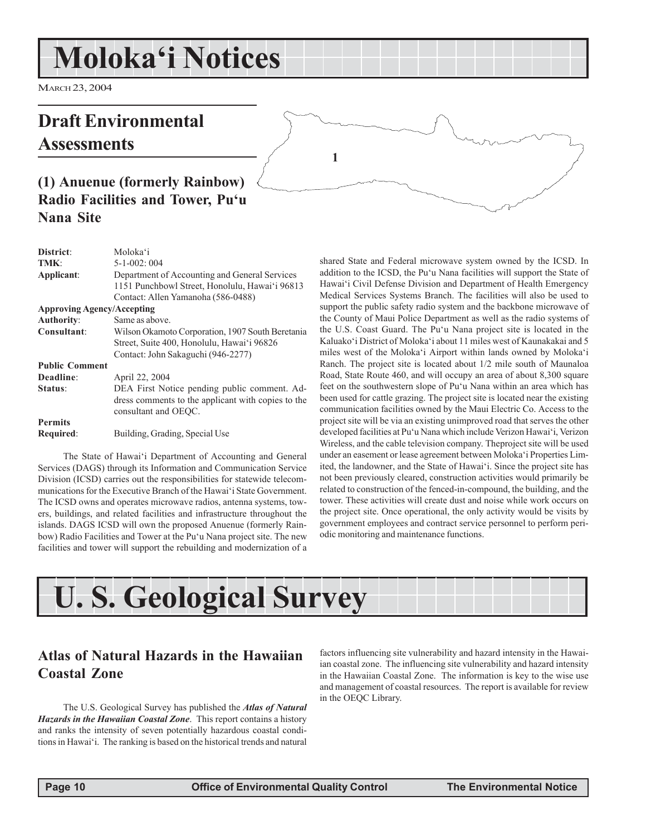# **Moloka'i Notices**

MARCH 23, 2004

# **Draft Environmental Assessments**



# **(1) Anuenue (formerly Rainbow) Radio Facilities and Tower, Pu'u Nana Site**

| <b>District:</b>                  | Moloka'i                                           |
|-----------------------------------|----------------------------------------------------|
| TMK:                              | $5 - 1 - 002:004$                                  |
| Applicant:                        | Department of Accounting and General Services      |
|                                   | 1151 Punchbowl Street, Honolulu, Hawai'i 96813     |
|                                   | Contact: Allen Yamanoha (586-0488)                 |
| <b>Approving Agency/Accepting</b> |                                                    |
| Authority:                        | Same as above.                                     |
| Consultant:                       | Wilson Okamoto Corporation, 1907 South Beretania   |
|                                   | Street, Suite 400, Honolulu, Hawai'i 96826         |
|                                   | Contact: John Sakaguchi (946-2277)                 |
| <b>Public Comment</b>             |                                                    |
| Deadline:                         | April 22, 2004                                     |
| Status:                           | DEA First Notice pending public comment. Ad-       |
|                                   | dress comments to the applicant with copies to the |
|                                   | consultant and OEQC.                               |
| <b>Permits</b>                    |                                                    |
| Required:                         | Building, Grading, Special Use                     |

The State of Hawai'i Department of Accounting and General Services (DAGS) through its Information and Communication Service Division (ICSD) carries out the responsibilities for statewide telecommunications for the Executive Branch of the Hawai'i State Government. The ICSD owns and operates microwave radios, antenna systems, towers, buildings, and related facilities and infrastructure throughout the islands. DAGS ICSD will own the proposed Anuenue (formerly Rainbow) Radio Facilities and Tower at the Pu'u Nana project site. The new facilities and tower will support the rebuilding and modernization of a

shared State and Federal microwave system owned by the ICSD. In addition to the ICSD, the Pu'u Nana facilities will support the State of Hawai'i Civil Defense Division and Department of Health Emergency Medical Services Systems Branch. The facilities will also be used to support the public safety radio system and the backbone microwave of the County of Maui Police Department as well as the radio systems of the U.S. Coast Guard. The Pu'u Nana project site is located in the Kaluako'i District of Moloka'i about 11 miles west of Kaunakakai and 5 miles west of the Moloka'i Airport within lands owned by Moloka'i Ranch. The project site is located about 1/2 mile south of Maunaloa Road, State Route 460, and will occupy an area of about 8,300 square feet on the southwestern slope of Pu'u Nana within an area which has been used for cattle grazing. The project site is located near the existing communication facilities owned by the Maui Electric Co. Access to the project site will be via an existing unimproved road that serves the other developed facilities at Pu'u Nana which include Verizon Hawai'i, Verizon Wireless, and the cable television company. Theproject site will be used under an easement or lease agreement between Moloka'i Properties Limited, the landowner, and the State of Hawai'i. Since the project site has not been previously cleared, construction activities would primarily be related to construction of the fenced-in-compound, the building, and the tower. These activities will create dust and noise while work occurs on the project site. Once operational, the only activity would be visits by government employees and contract service personnel to perform periodic monitoring and maintenance functions.



**1**

# **Atlas of Natural Hazards in the Hawaiian Coastal Zone**

The U.S. Geological Survey has published the *Atlas of Natural Hazards in the Hawaiian Coastal Zone*. This report contains a history and ranks the intensity of seven potentially hazardous coastal conditions in Hawai'i. The ranking is based on the historical trends and natural

factors influencing site vulnerability and hazard intensity in the Hawaiian coastal zone. The influencing site vulnerability and hazard intensity in the Hawaiian Coastal Zone. The information is key to the wise use and management of coastal resources. The report is available for review in the OEQC Library.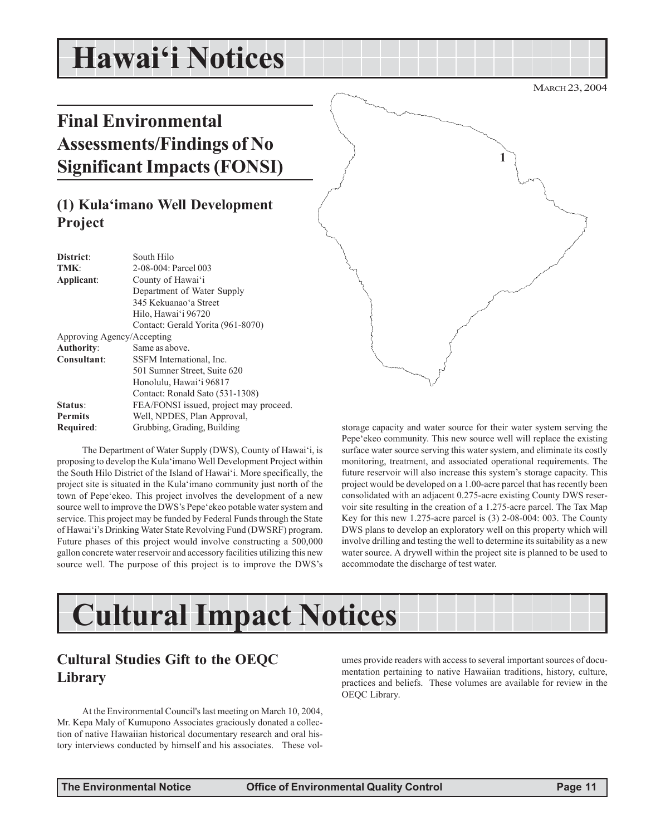# **Hawai'i Notices**

# **Final Environmental Assessments/Findings of No Significant Impacts (FONSI)**

# **(1) Kula'imano Well Development Project**

| District:                  | South Hilo                             |  |
|----------------------------|----------------------------------------|--|
| TMK:                       | 2-08-004: Parcel 003                   |  |
| Applicant:                 | County of Hawai'i                      |  |
|                            | Department of Water Supply             |  |
|                            | 345 Kekuanao'a Street                  |  |
|                            | Hilo, Hawai'i 96720                    |  |
|                            | Contact: Gerald Yorita (961-8070)      |  |
| Approving Agency/Accepting |                                        |  |
| Authority:                 | Same as above.                         |  |
| Consultant:                | SSFM International, Inc.               |  |
|                            | 501 Sumner Street, Suite 620           |  |
|                            | Honolulu, Hawai'i 96817                |  |
|                            | Contact: Ronald Sato (531-1308)        |  |
| Status:                    | FEA/FONSI issued, project may proceed. |  |
| <b>Permits</b>             | Well, NPDES, Plan Approval,            |  |
| Required:                  | Grubbing, Grading, Building            |  |

The Department of Water Supply (DWS), County of Hawai'i, is proposing to develop the Kula'imano Well Development Project within the South Hilo District of the Island of Hawai'i. More specifically, the project site is situated in the Kula'imano community just north of the town of Pepe'ekeo. This project involves the development of a new source well to improve the DWS's Pepe'ekeo potable water system and service. This project may be funded by Federal Funds through the State of Hawai'i's Drinking Water State Revolving Fund (DWSRF) program. Future phases of this project would involve constructing a 500,000 gallon concrete water reservoir and accessory facilities utilizing this new source well. The purpose of this project is to improve the DWS's



storage capacity and water source for their water system serving the Pepe'ekeo community. This new source well will replace the existing surface water source serving this water system, and eliminate its costly monitoring, treatment, and associated operational requirements. The future reservoir will also increase this system's storage capacity. This project would be developed on a 1.00-acre parcel that has recently been consolidated with an adjacent 0.275-acre existing County DWS reservoir site resulting in the creation of a 1.275-acre parcel. The Tax Map Key for this new 1.275-acre parcel is (3) 2-08-004: 003. The County DWS plans to develop an exploratory well on this property which will involve drilling and testing the well to determine its suitability as a new water source. A drywell within the project site is planned to be used to accommodate the discharge of test water.

# **Cultural Impact Notices**

## **Cultural Studies Gift to the OEQC Library**

At the Environmental Council's last meeting on March 10, 2004, Mr. Kepa Maly of Kumupono Associates graciously donated a collection of native Hawaiian historical documentary research and oral history interviews conducted by himself and his associates. These vol-

umes provide readers with access to several important sources of documentation pertaining to native Hawaiian traditions, history, culture, practices and beliefs. These volumes are available for review in the OEQC Library.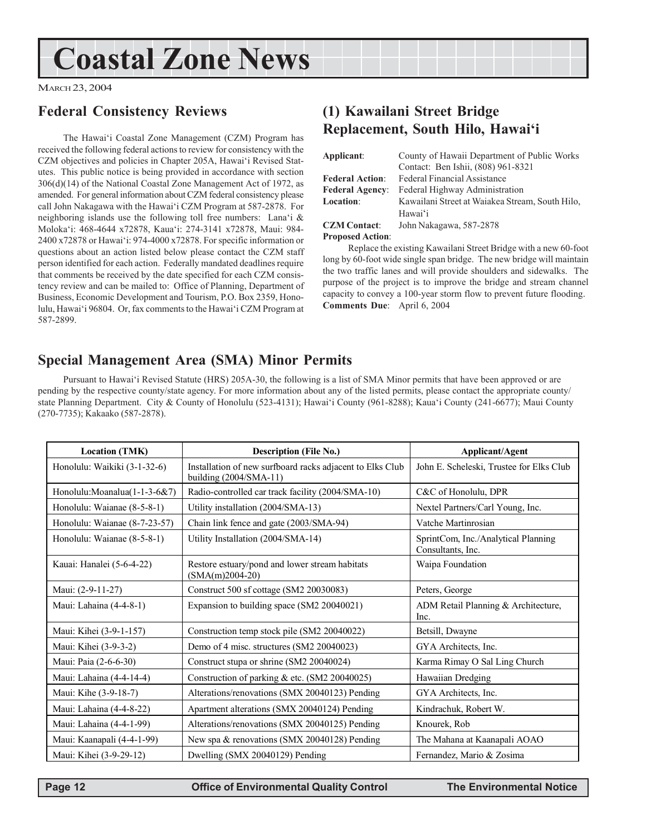# **Coastal Zone News**

MARCH 23, 2004

# **Federal Consistency Reviews**

The Hawai'i Coastal Zone Management (CZM) Program has received the following federal actions to review for consistency with the CZM objectives and policies in Chapter 205A, Hawai'i Revised Statutes. This public notice is being provided in accordance with section 306(d)(14) of the National Coastal Zone Management Act of 1972, as amended. For general information about CZM federal consistency please call John Nakagawa with the Hawai'i CZM Program at 587-2878. For neighboring islands use the following toll free numbers: Lana'i & Moloka'i: 468-4644 x72878, Kaua'i: 274-3141 x72878, Maui: 984- 2400 x72878 or Hawai'i: 974-4000 x72878. For specific information or questions about an action listed below please contact the CZM staff person identified for each action. Federally mandated deadlines require that comments be received by the date specified for each CZM consistency review and can be mailed to: Office of Planning, Department of Business, Economic Development and Tourism, P.O. Box 2359, Honolulu, Hawai'i 96804. Or, fax comments to the Hawai'i CZM Program at 587-2899.

# **(1) Kawailani Street Bridge Replacement, South Hilo, Hawai'i**

| Applicant:             | County of Hawaii Department of Public Works     |  |
|------------------------|-------------------------------------------------|--|
|                        | Contact: Ben Ishii, (808) 961-8321              |  |
| <b>Federal Action:</b> | <b>Federal Financial Assistance</b>             |  |
| <b>Federal Agency:</b> | Federal Highway Administration                  |  |
| Location:              | Kawailani Street at Waiakea Stream, South Hilo, |  |
|                        | Hawai'i                                         |  |
| <b>CZM Contact:</b>    | John Nakagawa, 587-2878                         |  |

#### **Proposed Action**:

Replace the existing Kawailani Street Bridge with a new 60-foot long by 60-foot wide single span bridge. The new bridge will maintain the two traffic lanes and will provide shoulders and sidewalks. The purpose of the project is to improve the bridge and stream channel capacity to convey a 100-year storm flow to prevent future flooding. **Comments Due**: April 6, 2004

# **Special Management Area (SMA) Minor Permits**

Pursuant to Hawai'i Revised Statute (HRS) 205A-30, the following is a list of SMA Minor permits that have been approved or are pending by the respective county/state agency. For more information about any of the listed permits, please contact the appropriate county/ state Planning Department. City & County of Honolulu (523-4131); Hawai'i County (961-8288); Kaua'i County (241-6677); Maui County (270-7735); Kakaako (587-2878).

| <b>Location (TMK)</b>         | <b>Description (File No.)</b>                                                       | <b>Applicant/Agent</b>                                   |
|-------------------------------|-------------------------------------------------------------------------------------|----------------------------------------------------------|
| Honolulu: Waikiki (3-1-32-6)  | Installation of new surfboard racks adjacent to Elks Club<br>building (2004/SMA-11) | John E. Scheleski, Trustee for Elks Club                 |
| Honolulu:Moanalua(1-1-3-6&7)  | Radio-controlled car track facility (2004/SMA-10)                                   | C&C of Honolulu, DPR                                     |
| Honolulu: Waianae (8-5-8-1)   | Utility installation (2004/SMA-13)                                                  | Nextel Partners/Carl Young, Inc.                         |
| Honolulu: Waianae (8-7-23-57) | Chain link fence and gate (2003/SMA-94)                                             | Vatche Martinrosian                                      |
| Honolulu: Waianae (8-5-8-1)   | Utility Installation (2004/SMA-14)                                                  | SprintCom, Inc./Analytical Planning<br>Consultants, Inc. |
| Kauai: Hanalei (5-6-4-22)     | Restore estuary/pond and lower stream habitats<br>$(SMA(m)2004-20)$                 | Waipa Foundation                                         |
| Maui: (2-9-11-27)             | Construct 500 sf cottage (SM2 20030083)                                             | Peters, George                                           |
| Maui: Lahaina (4-4-8-1)       | Expansion to building space (SM2 20040021)                                          | ADM Retail Planning & Architecture,<br>Inc.              |
| Maui: Kihei (3-9-1-157)       | Construction temp stock pile (SM2 20040022)                                         | Betsill, Dwayne                                          |
| Maui: Kihei (3-9-3-2)         | Demo of 4 misc. structures (SM2 20040023)                                           | GYA Architects, Inc.                                     |
| Maui: Paia (2-6-6-30)         | Construct stupa or shrine (SM2 20040024)                                            | Karma Rimay O Sal Ling Church                            |
| Maui: Lahaina (4-4-14-4)      | Construction of parking & etc. (SM2 20040025)                                       | Hawaiian Dredging                                        |
| Maui: Kihe (3-9-18-7)         | Alterations/renovations (SMX 20040123) Pending                                      | GYA Architects, Inc.                                     |
| Maui: Lahaina (4-4-8-22)      | Apartment alterations (SMX 20040124) Pending                                        | Kindrachuk, Robert W.                                    |
| Maui: Lahaina (4-4-1-99)      | Alterations/renovations (SMX 20040125) Pending                                      | Knourek, Rob                                             |
| Maui: Kaanapali (4-4-1-99)    | New spa & renovations (SMX 20040128) Pending                                        | The Mahana at Kaanapali AOAO                             |
| Maui: Kihei (3-9-29-12)       | Dwelling (SMX 20040129) Pending                                                     | Fernandez, Mario & Zosima                                |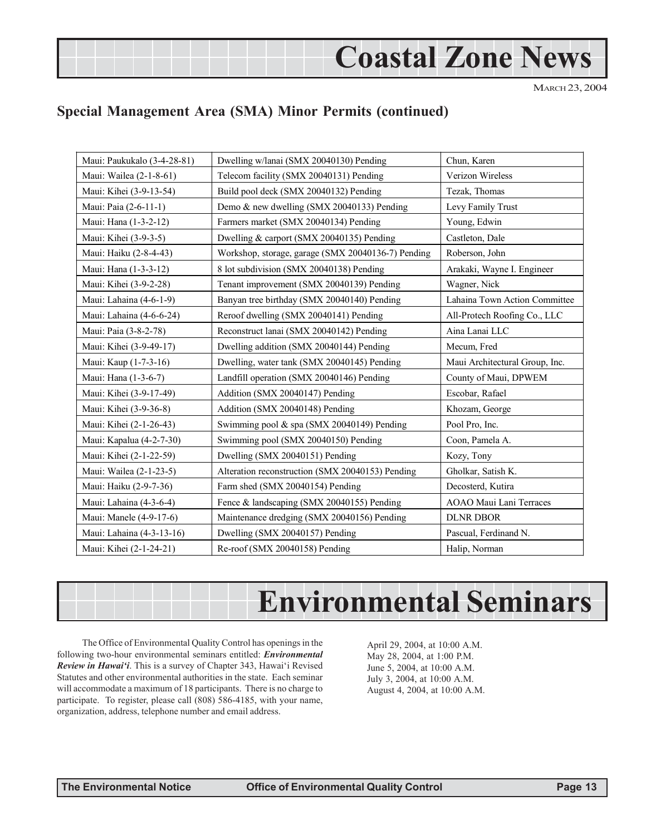# **Coastal Zone News**

MARCH 23, 2004

# **Special Management Area (SMA) Minor Permits (continued)**

| Maui: Paukukalo (3-4-28-81) | Dwelling w/lanai (SMX 20040130) Pending            | Chun, Karen                    |
|-----------------------------|----------------------------------------------------|--------------------------------|
| Maui: Wailea (2-1-8-61)     | Telecom facility (SMX 20040131) Pending            | Verizon Wireless               |
| Maui: Kihei (3-9-13-54)     | Build pool deck (SMX 20040132) Pending             | Tezak, Thomas                  |
| Maui: Paia (2-6-11-1)       | Demo & new dwelling (SMX 20040133) Pending         | Levy Family Trust              |
| Maui: Hana (1-3-2-12)       | Farmers market (SMX 20040134) Pending              | Young, Edwin                   |
| Maui: Kihei (3-9-3-5)       | Dwelling & carport (SMX 20040135) Pending          | Castleton, Dale                |
| Maui: Haiku (2-8-4-43)      | Workshop, storage, garage (SMX 20040136-7) Pending | Roberson, John                 |
| Maui: Hana (1-3-3-12)       | 8 lot subdivision (SMX 20040138) Pending           | Arakaki, Wayne I. Engineer     |
| Maui: Kihei (3-9-2-28)      | Tenant improvement (SMX 20040139) Pending          | Wagner, Nick                   |
| Maui: Lahaina (4-6-1-9)     | Banyan tree birthday (SMX 20040140) Pending        | Lahaina Town Action Committee  |
| Maui: Lahaina (4-6-6-24)    | Reroof dwelling (SMX 20040141) Pending             | All-Protech Roofing Co., LLC   |
| Maui: Paia (3-8-2-78)       | Reconstruct lanai (SMX 20040142) Pending           | Aina Lanai LLC                 |
| Maui: Kihei (3-9-49-17)     | Dwelling addition (SMX 20040144) Pending           | Mecum, Fred                    |
| Maui: Kaup (1-7-3-16)       | Dwelling, water tank (SMX 20040145) Pending        | Maui Architectural Group, Inc. |
| Maui: Hana (1-3-6-7)        | Landfill operation (SMX 20040146) Pending          | County of Maui, DPWEM          |
| Maui: Kihei (3-9-17-49)     | Addition (SMX 20040147) Pending                    | Escobar, Rafael                |
| Maui: Kihei (3-9-36-8)      | Addition (SMX 20040148) Pending                    | Khozam, George                 |
| Maui: Kihei (2-1-26-43)     | Swimming pool & spa (SMX 20040149) Pending         | Pool Pro, Inc.                 |
| Maui: Kapalua (4-2-7-30)    | Swimming pool (SMX 20040150) Pending               | Coon, Pamela A.                |
| Maui: Kihei (2-1-22-59)     | Dwelling (SMX 20040151) Pending                    | Kozy, Tony                     |
| Maui: Wailea (2-1-23-5)     | Alteration reconstruction (SMX 20040153) Pending   | Gholkar, Satish K.             |
| Maui: Haiku (2-9-7-36)      | Farm shed (SMX 20040154) Pending                   | Decosterd, Kutira              |
| Maui: Lahaina (4-3-6-4)     | Fence & landscaping (SMX 20040155) Pending         | AOAO Maui Lani Terraces        |
| Maui: Manele (4-9-17-6)     | Maintenance dredging (SMX 20040156) Pending        | <b>DLNR DBOR</b>               |
| Maui: Lahaina (4-3-13-16)   | Dwelling (SMX 20040157) Pending                    | Pascual, Ferdinand N.          |
| Maui: Kihei (2-1-24-21)     | Re-roof (SMX 20040158) Pending                     | Halip, Norman                  |

# **Environmental Seminars**

The Office of Environmental Quality Control has openings in the following two-hour environmental seminars entitled: *Environmental Review in Hawai'i*. This is a survey of Chapter 343, Hawai'i Revised Statutes and other environmental authorities in the state. Each seminar will accommodate a maximum of 18 participants. There is no charge to participate. To register, please call (808) 586-4185, with your name, organization, address, telephone number and email address.

April 29, 2004, at 10:00 A.M. May 28, 2004, at 1:00 P.M. June 5, 2004, at 10:00 A.M. July 3, 2004, at 10:00 A.M. August 4, 2004, at 10:00 A.M.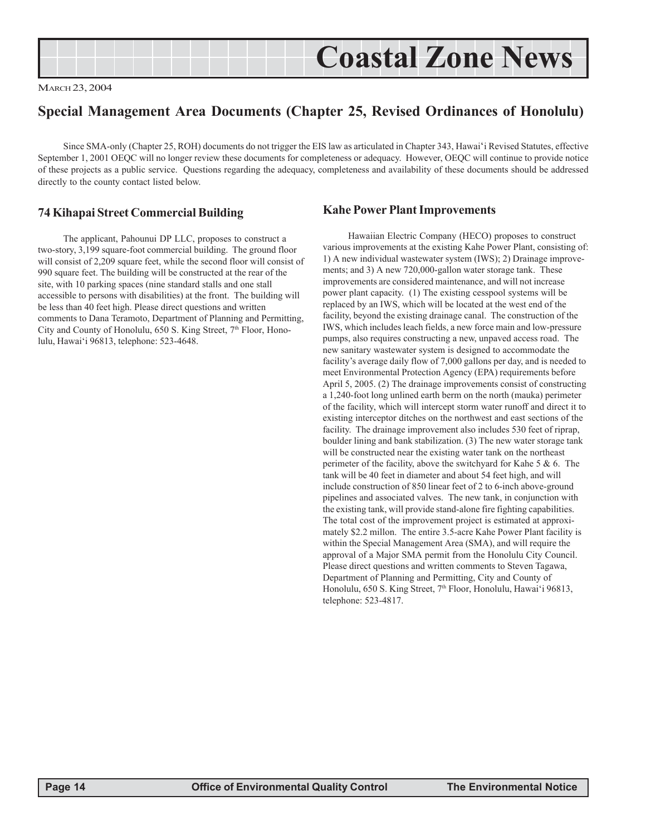|--|

MARCH 23, 2004

# **Special Management Area Documents (Chapter 25, Revised Ordinances of Honolulu)**

Since SMA-only (Chapter 25, ROH) documents do not trigger the EIS law as articulated in Chapter 343, Hawai'i Revised Statutes, effective September 1, 2001 OEQC will no longer review these documents for completeness or adequacy. However, OEQC will continue to provide notice of these projects as a public service. Questions regarding the adequacy, completeness and availability of these documents should be addressed directly to the county contact listed below.

### **74 Kihapai Street Commercial Building**

The applicant, Pahounui DP LLC, proposes to construct a two-story, 3,199 square-foot commercial building. The ground floor will consist of 2,209 square feet, while the second floor will consist of 990 square feet. The building will be constructed at the rear of the site, with 10 parking spaces (nine standard stalls and one stall accessible to persons with disabilities) at the front. The building will be less than 40 feet high. Please direct questions and written comments to Dana Teramoto, Department of Planning and Permitting, City and County of Honolulu, 650 S. King Street, 7<sup>th</sup> Floor, Honolulu, Hawai'i 96813, telephone: 523-4648.

#### **Kahe Power Plant Improvements**

Hawaiian Electric Company (HECO) proposes to construct various improvements at the existing Kahe Power Plant, consisting of: 1) A new individual wastewater system (IWS); 2) Drainage improvements; and 3) A new 720,000-gallon water storage tank. These improvements are considered maintenance, and will not increase power plant capacity. (1) The existing cesspool systems will be replaced by an IWS, which will be located at the west end of the facility, beyond the existing drainage canal. The construction of the IWS, which includes leach fields, a new force main and low-pressure pumps, also requires constructing a new, unpaved access road. The new sanitary wastewater system is designed to accommodate the facility's average daily flow of 7,000 gallons per day, and is needed to meet Environmental Protection Agency (EPA) requirements before April 5, 2005. (2) The drainage improvements consist of constructing a 1,240-foot long unlined earth berm on the north (mauka) perimeter of the facility, which will intercept storm water runoff and direct it to existing interceptor ditches on the northwest and east sections of the facility. The drainage improvement also includes 530 feet of riprap, boulder lining and bank stabilization. (3) The new water storage tank will be constructed near the existing water tank on the northeast perimeter of the facility, above the switchyard for Kahe 5 & 6. The tank will be 40 feet in diameter and about 54 feet high, and will include construction of 850 linear feet of 2 to 6-inch above-ground pipelines and associated valves. The new tank, in conjunction with the existing tank, will provide stand-alone fire fighting capabilities. The total cost of the improvement project is estimated at approximately \$2.2 millon. The entire 3.5-acre Kahe Power Plant facility is within the Special Management Area (SMA), and will require the approval of a Major SMA permit from the Honolulu City Council. Please direct questions and written comments to Steven Tagawa, Department of Planning and Permitting, City and County of Honolulu, 650 S. King Street, 7<sup>th</sup> Floor, Honolulu, Hawai'i 96813, telephone: 523-4817.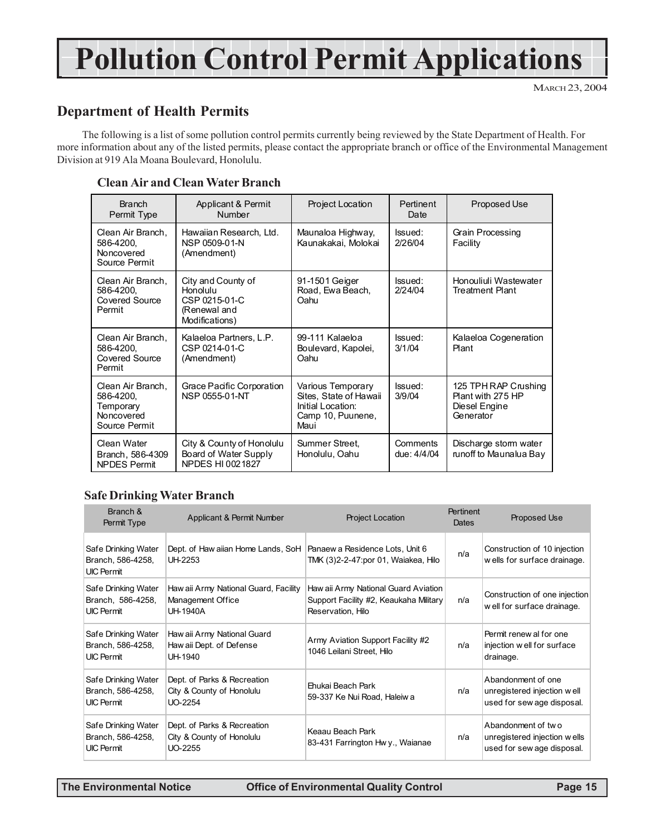# **Pollution Control Permit Applications**

MARCH 23, 2004

# **Department of Health Permits**

The following is a list of some pollution control permits currently being reviewed by the State Department of Health. For more information about any of the listed permits, please contact the appropriate branch or office of the Environmental Management Division at 919 Ala Moana Boulevard, Honolulu.

#### **Clean Air and Clean Water Branch**

| <b>Branch</b><br>Permit Type                                               | Applicant & Permit<br>Number                                                      | Project Location                                                                              | Pertinent<br>Date       | Proposed Use                                                            |
|----------------------------------------------------------------------------|-----------------------------------------------------------------------------------|-----------------------------------------------------------------------------------------------|-------------------------|-------------------------------------------------------------------------|
| Clean Air Branch.<br>586-4200.<br>Noncovered<br>Source Permit              | Hawaiian Research, Ltd.<br>NSP 0509-01-N<br>(Amendment)                           | Maunaloa Highway,<br>Kaunakakai, Molokai                                                      | Issued:<br>2/26/04      | Grain Processing<br>Facility                                            |
| Clean Air Branch,<br>586-4200.<br>Covered Source<br>Permit                 | City and County of<br>Honolulu<br>CSP 0215-01-C<br>(Renewal and<br>Modifications) | 91-1501 Geiger<br>Road, Ewa Beach,<br>Oahu                                                    | Issued:<br>2/24/04      | Honouliuli Wastewater<br><b>Treatment Plant</b>                         |
| Clean Air Branch,<br>586-4200.<br>Covered Source<br>Permit                 | Kalaeloa Partners, L.P.<br>CSP 0214-01-C<br>(Amendment)                           | 99-111 Kalaeloa<br>Boulevard, Kapolei,<br>Oahu                                                | Issued:<br>3/1/04       | Kalaeloa Cogeneration<br>Plant                                          |
| Clean Air Branch,<br>586-4200,<br>Temporary<br>Noncovered<br>Source Permit | Grace Pacific Corporation<br>NSP 0555-01-NT                                       | Various Temporary<br>Sites, State of Hawaii<br>Initial Location:<br>Camp 10, Puunene,<br>Maui | Issued:<br>3/9/04       | 125 TPH RAP Crushing<br>Plant with 275 HP<br>Diesel Engine<br>Generator |
| Clean Water<br>Branch, 586-4309<br><b>NPDES Permit</b>                     | City & County of Honolulu<br>Board of Water Supply<br>NPDES HI 0021827            | Summer Street.<br>Honolulu, Oahu                                                              | Comments<br>due: 4/4/04 | Discharge stom water<br>runoff to Maunalua Bay                          |

### **Safe Drinking Water Branch**

| Branch &<br>Permit Type                                       | Applicant & Permit Number                                              | <b>Project Location</b>                                                                             | Pertinent<br>Dates | Proposed Use                                                                     |
|---------------------------------------------------------------|------------------------------------------------------------------------|-----------------------------------------------------------------------------------------------------|--------------------|----------------------------------------------------------------------------------|
| Safe Drinking Water<br>Branch, 586-4258,<br><b>UIC Permit</b> | Dept. of Haw aiian Home Lands, SoH<br>UH-2253                          | Panaew a Residence Lots, Unit 6<br>TMK (3)2-2-47:por 01, Waiakea, Hilo                              | n/a                | Construction of 10 injection<br>wells for surface drainage.                      |
| Safe Drinking Water<br>Branch, 586-4258,<br><b>UIC Permit</b> | Haw aii Army National Guard, Facility<br>Management Office<br>UH-1940A | Haw aii Army National Guard Aviation<br>Support Facility #2, Keaukaha Military<br>Reservation, Hilo | n/a                | Construction of one injection<br>well for surface drainage.                      |
| Safe Drinking Water<br>Branch, 586-4258,<br><b>UIC Permit</b> | Haw aii Army National Guard<br>Haw aii Dept. of Defense<br>UH-1940     | Army Aviation Support Facility #2<br>1046 Leilani Street, Hilo                                      | n/a                | Permit renew al for one<br>injection w ell for surface<br>drainage.              |
| Safe Drinking Water<br>Branch, 586-4258,<br><b>UIC Permit</b> | Dept. of Parks & Recreation<br>City & County of Honolulu<br>UO-2254    | Ehukai Beach Park<br>59-337 Ke Nui Road, Haleiw a                                                   | n/a                | Abandonment of one<br>unregistered injection well<br>used for sew age disposal.  |
| Safe Drinking Water<br>Branch, 586-4258,<br><b>UIC Permit</b> | Dept. of Parks & Recreation<br>City & County of Honolulu<br>UO-2255    | Keaau Beach Park<br>83-431 Farrington Hwy., Waianae                                                 | n/a                | Abandonment of two<br>unregistered injection wells<br>used for sew age disposal. |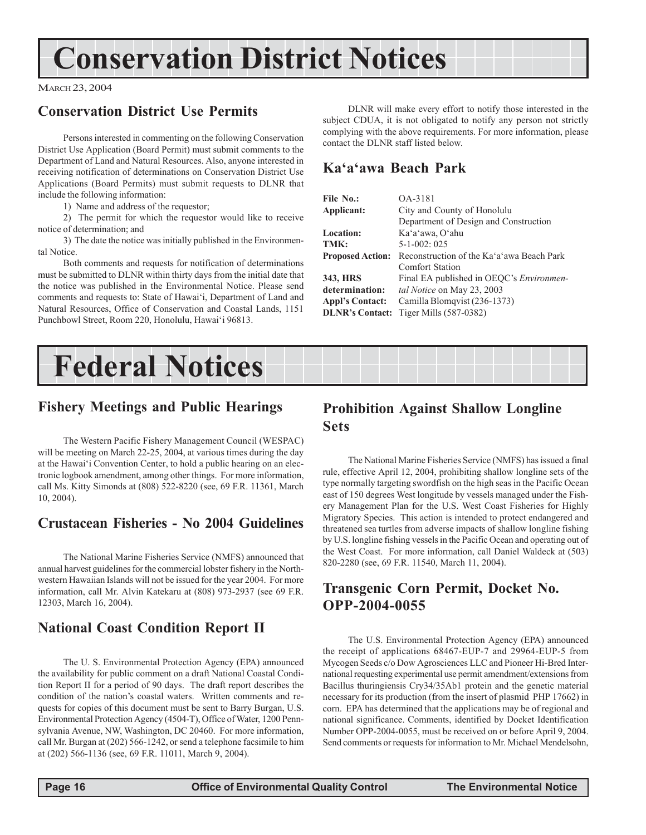# **Conservation District Notices**

#### MARCH 23, 2004

# **Conservation District Use Permits**

Persons interested in commenting on the following Conservation District Use Application (Board Permit) must submit comments to the Department of Land and Natural Resources. Also, anyone interested in receiving notification of determinations on Conservation District Use Applications (Board Permits) must submit requests to DLNR that include the following information:

1) Name and address of the requestor;

2) The permit for which the requestor would like to receive notice of determination; and

3) The date the notice was initially published in the Environmental Notice.

Both comments and requests for notification of determinations must be submitted to DLNR within thirty days from the initial date that the notice was published in the Environmental Notice. Please send comments and requests to: State of Hawai'i, Department of Land and Natural Resources, Office of Conservation and Coastal Lands, 1151 Punchbowl Street, Room 220, Honolulu, Hawai'i 96813.

DLNR will make every effort to notify those interested in the subject CDUA, it is not obligated to notify any person not strictly complying with the above requirements. For more information, please contact the DLNR staff listed below.

# **Ka'a'awa Beach Park**

| File No.:               | OA-3181                                   |
|-------------------------|-------------------------------------------|
| Applicant:              | City and County of Honolulu               |
|                         | Department of Design and Construction     |
| <b>Location:</b>        | Ka'a'awa, O'ahu                           |
| TMK:                    | $5 - 1 - 002$ : 025                       |
| <b>Proposed Action:</b> | Reconstruction of the Ka'a'awa Beach Park |
|                         | Comfort Station                           |
| 343, HRS                | Final EA published in OEQC's Environmen-  |
| determination:          | tal Notice on May 23, 2003                |
| <b>Appl's Contact:</b>  | Camilla Blomqvist (236-1373)              |
| <b>DLNR's Contact:</b>  | Tiger Mills (587-0382)                    |

# **Federal Notices**

# **Fishery Meetings and Public Hearings**

The Western Pacific Fishery Management Council (WESPAC) will be meeting on March 22-25, 2004, at various times during the day at the Hawai'i Convention Center, to hold a public hearing on an electronic logbook amendment, among other things. For more information, call Ms. Kitty Simonds at (808) 522-8220 (see, 69 F.R. 11361, March 10, 2004).

# **Crustacean Fisheries - No 2004 Guidelines**

The National Marine Fisheries Service (NMFS) announced that annual harvest guidelines for the commercial lobster fishery in the Northwestern Hawaiian Islands will not be issued for the year 2004. For more information, call Mr. Alvin Katekaru at (808) 973-2937 (see 69 F.R. 12303, March 16, 2004).

# **National Coast Condition Report II**

The U. S. Environmental Protection Agency (EPA) announced the availability for public comment on a draft National Coastal Condition Report II for a period of 90 days. The draft report describes the condition of the nation's coastal waters. Written comments and requests for copies of this document must be sent to Barry Burgan, U.S. Environmental Protection Agency (4504-T), Office of Water, 1200 Pennsylvania Avenue, NW, Washington, DC 20460. For more information, call Mr. Burgan at (202) 566-1242, or send a telephone facsimile to him at (202) 566-1136 (see, 69 F.R. 11011, March 9, 2004).

# **Prohibition Against Shallow Longline Sets**

The National Marine Fisheries Service (NMFS) has issued a final rule, effective April 12, 2004, prohibiting shallow longline sets of the type normally targeting swordfish on the high seas in the Pacific Ocean east of 150 degrees West longitude by vessels managed under the Fishery Management Plan for the U.S. West Coast Fisheries for Highly Migratory Species. This action is intended to protect endangered and threatened sea turtles from adverse impacts of shallow longline fishing by U.S. longline fishing vessels in the Pacific Ocean and operating out of the West Coast. For more information, call Daniel Waldeck at (503) 820-2280 (see, 69 F.R. 11540, March 11, 2004).

# **Transgenic Corn Permit, Docket No. OPP-2004-0055**

The U.S. Environmental Protection Agency (EPA) announced the receipt of applications 68467-EUP-7 and 29964-EUP-5 from Mycogen Seeds c/o Dow Agrosciences LLC and Pioneer Hi-Bred International requesting experimental use permit amendment/extensions from Bacillus thuringiensis Cry34/35Ab1 protein and the genetic material necessary for its production (from the insert of plasmid PHP 17662) in corn. EPA has determined that the applications may be of regional and national significance. Comments, identified by Docket Identification Number OPP-2004-0055, must be received on or before April 9, 2004. Send comments or requests for information to Mr. Michael Mendelsohn,